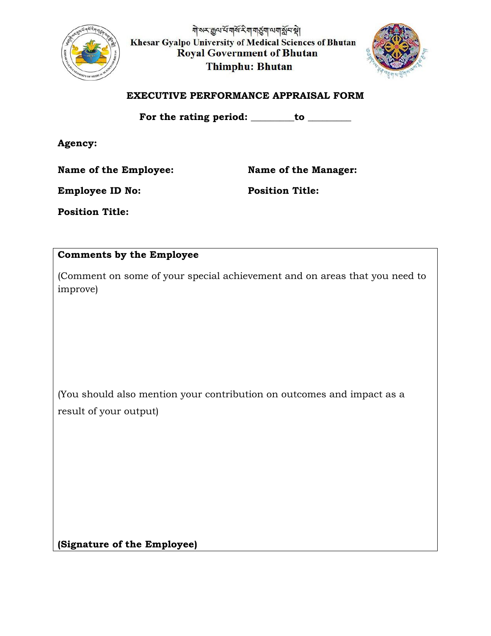

<u> योअर क्रुव्य में यार्थ रेया यार्डुया व्ययार्श्वे प्रश्ले</u> Khesar Gyalpo University of Medical Sciences of Bhutan **Royal Government of Bhutan Thimphu: Bhutan** 



#### **EXECUTIVE PERFORMANCE APPRAISAL FORM**

For the rating period: \_\_\_\_\_\_\_to \_\_\_\_\_\_\_\_

**Agency:**

Name of the Employee: Name of the Manager:

**Employee ID No: Position Title:** 

**Position Title:** 

# **Comments by the Employee**

(Comment on some of your special achievement and on areas that you need to improve)

(You should also mention your contribution on outcomes and impact as a result of your output)

**(Signature of the Employee)**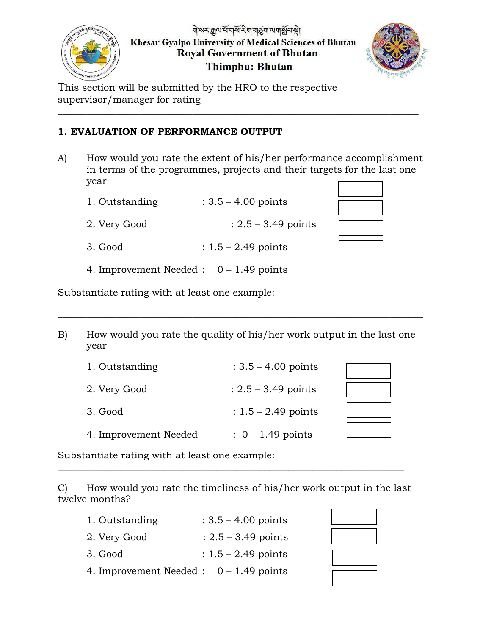

নীসমক্লুঅৰ্থসামৰ্থিমা নাৰ্ত্ত্বনা অবাৰ্ম্নন স্থা **Khesar Gyalpo University of Medical Sciences of Bhutan Royal Government of Bhutan Thimphu: Bhutan** 



This section will be submitted by the HRO to the respective supervisor/manager for rating

### **1. EVALUATION OF PERFORMANCE OUTPUT**

A) How would you rate the extent of his/her performance accomplishment in terms of the programmes, projects and their targets for the last one year

\_\_\_\_\_\_\_\_\_\_\_\_\_\_\_\_\_\_\_\_\_\_\_\_\_\_\_\_\_\_\_\_\_\_\_\_\_\_\_\_\_\_\_\_\_\_\_\_\_\_\_\_\_\_\_\_\_\_\_\_\_\_\_\_\_\_\_\_\_\_\_\_\_\_\_

| 1. Outstanding | $: 3.5 - 4.00$ points |
|----------------|-----------------------|
|                |                       |

2. Very Good :  $2.5 - 3.49$  points

- 3. Good :  $1.5 2.49$  points
- 4. Improvement Needed : 0 1.49 points

Substantiate rating with at least one example:

B) How would you rate the quality of his/her work output in the last one year

\_\_\_\_\_\_\_\_\_\_\_\_\_\_\_\_\_\_\_\_\_\_\_\_\_\_\_\_\_\_\_\_\_\_\_\_\_\_\_\_\_\_\_\_\_\_\_\_\_\_\_\_\_\_\_\_\_\_\_\_\_\_\_\_\_\_\_\_\_\_\_\_\_\_\_\_

| 1. Outstanding        | $: 3.5 - 4.00$ points |  |
|-----------------------|-----------------------|--|
| 2. Very Good          | $: 2.5 - 3.49$ points |  |
| 3. Good               | $: 1.5 - 2.49$ points |  |
| 4. Improvement Needed | $: 0 - 1.49$ points   |  |

Substantiate rating with at least one example:

C) How would you rate the timeliness of his/her work output in the last twelve months?

 $\_$  , and the set of the set of the set of the set of the set of the set of the set of the set of the set of the set of the set of the set of the set of the set of the set of the set of the set of the set of the set of th

| 1. Outstanding                            | $: 3.5 - 4.00$ points |
|-------------------------------------------|-----------------------|
| 2. Very Good                              | $: 2.5 - 3.49$ points |
| 3. Good                                   | $: 1.5 - 2.49$ points |
| 4. Improvement Needed : $0 - 1.49$ points |                       |

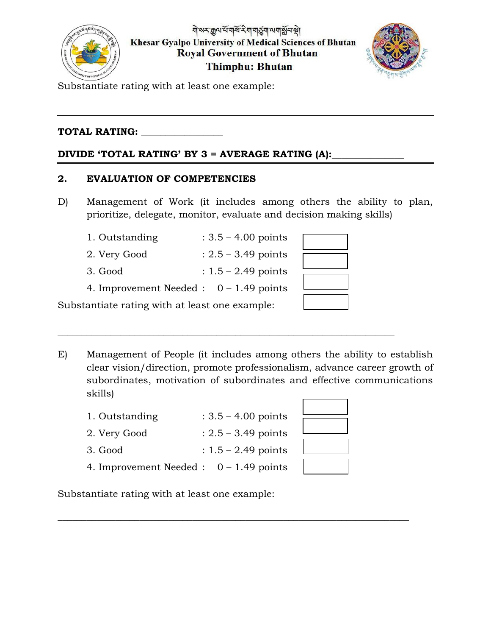



Substantiate rating with at least one example:

# **TOTAL RATING:** \_\_\_\_\_\_\_\_\_\_\_\_\_\_\_\_\_

## DIVIDE 'TOTAL RATING' BY 3 = AVERAGE RATING (A):

#### **2. EVALUATION OF COMPETENCIES**

D) Management of Work (it includes among others the ability to plan, prioritize, delegate, monitor, evaluate and decision making skills)

| 1. Outstanding                                 | $: 3.5 - 4.00 \text{ points}$ |  |
|------------------------------------------------|-------------------------------|--|
| 2. Very Good                                   | $: 2.5 - 3.49$ points         |  |
| 3. Good                                        | $: 1.5 - 2.49$ points         |  |
| 4. Improvement Needed : $0 - 1.49$ points      |                               |  |
| Substantiate rating with at least one example: |                               |  |

E) Management of People (it includes among others the ability to establish clear vision/direction, promote professionalism, advance career growth of subordinates, motivation of subordinates and effective communications skills)

 $\_$  , and the set of the set of the set of the set of the set of the set of the set of the set of the set of the set of the set of the set of the set of the set of the set of the set of the set of the set of the set of th

 $\_$  , and the set of the set of the set of the set of the set of the set of the set of the set of the set of the set of the set of the set of the set of the set of the set of the set of the set of the set of the set of th

| 1. Outstanding | $: 3.5 - 4.00 \text{ points}$ |
|----------------|-------------------------------|
|----------------|-------------------------------|

- 2. Very Good :  $2.5 3.49$  points
- 3. Good :  $1.5 2.49$  points
- 4. Improvement Needed : 0 1.49 points

Substantiate rating with at least one example: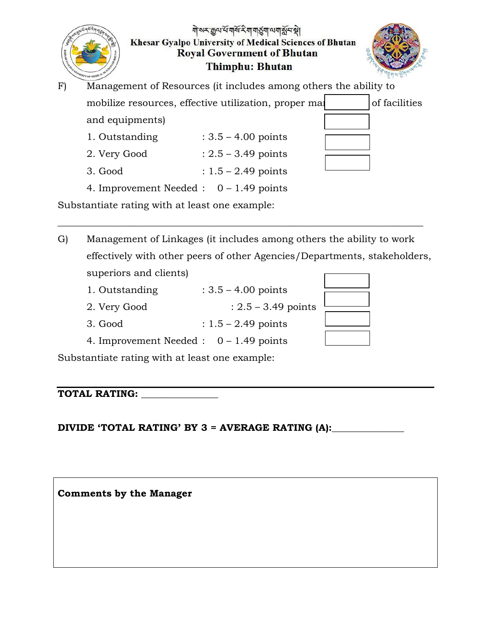|    | FRSITY OF MEDICAL                              | बोरूर कुल से बार्रे रे बा बार्डुबा लग श्लेन है।<br>Khesar Gyalpo University of Medical Sciences of Bhutan<br><b>Royal Government of Bhutan</b><br>Thimphu: Bhutan |               |
|----|------------------------------------------------|-------------------------------------------------------------------------------------------------------------------------------------------------------------------|---------------|
| F) |                                                | Management of Resources (it includes among others the ability to                                                                                                  |               |
|    |                                                | mobilize resources, effective utilization, proper main                                                                                                            | of facilities |
|    | and equipments)                                |                                                                                                                                                                   |               |
|    | 1. Outstanding                                 | $: 3.5 - 4.00$ points                                                                                                                                             |               |
|    | 2. Very Good                                   | $: 2.5 - 3.49$ points                                                                                                                                             |               |
|    | 3. Good                                        | $: 1.5 - 2.49$ points                                                                                                                                             |               |
|    | 4. Improvement Needed : $0 - 1.49$ points      |                                                                                                                                                                   |               |
|    | Substantiate rating with at least one example: |                                                                                                                                                                   |               |

G) Management of Linkages (it includes among others the ability to work effectively with other peers of other Agencies/Departments, stakeholders, superiors and clients)

\_\_\_\_\_\_\_\_\_\_\_\_\_\_\_\_\_\_\_\_\_\_\_\_\_\_\_\_\_\_\_\_\_\_\_\_\_\_\_\_\_\_\_\_\_\_\_\_\_\_\_\_\_\_\_\_\_\_\_\_\_\_\_\_\_\_\_\_\_\_\_\_\_\_\_\_

- 1. Outstanding  $: 3.5 4.00$  points
- 2. Very Good : 2.5 3.49 points
- 3. Good : 1.5 2.49 points
- 4. Improvement Needed : 0 1.49 points

Substantiate rating with at least one example:

**TOTAL RATING:** \_\_\_\_\_\_\_\_\_\_\_\_\_\_\_\_

**DIVIDE 'TOTAL RATING' BY 3 = AVERAGE RATING (A):\_\_\_\_\_\_\_\_\_\_\_\_\_\_\_**

**Comments by the Manager**